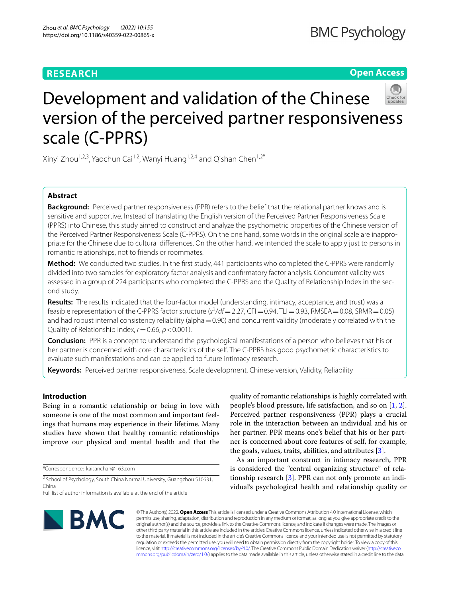## **RESEARCH**

## **Open Access**



# Development and validation of the Chinese version of the perceived partner responsiveness scale (C-PPRS)

Xinyi Zhou<sup>1,2,3</sup>, Yaochun Cai<sup>1,2</sup>, Wanyi Huang<sup>1,2,4</sup> and Qishan Chen<sup>1,2\*</sup>

## **Abstract**

**Background:** Perceived partner responsiveness (PPR) refers to the belief that the relational partner knows and is sensitive and supportive. Instead of translating the English version of the Perceived Partner Responsiveness Scale (PPRS) into Chinese, this study aimed to construct and analyze the psychometric properties of the Chinese version of the Perceived Partner Responsiveness Scale (C-PPRS). On the one hand, some words in the original scale are inappropriate for the Chinese due to cultural diferences. On the other hand, we intended the scale to apply just to persons in romantic relationships, not to friends or roommates.

**Method:** We conducted two studies. In the first study, 441 participants who completed the C-PPRS were randomly divided into two samples for exploratory factor analysis and confrmatory factor analysis. Concurrent validity was assessed in a group of 224 participants who completed the C-PPRS and the Quality of Relationship Index in the second study.

**Results:** The results indicated that the four-factor model (understanding, intimacy, acceptance, and trust) was a feasible representation of the C-PPRS factor structure (*χ<sup>2</sup>/df* = 2.27, CFI = 0.94, TLI = 0.93, RMSEA = 0.08, SRMR = 0.05) and had robust internal consistency reliability (alpha = 0.90) and concurrent validity (moderately correlated with the Quality of Relationship Index,  $r = 0.66$ ,  $p < 0.001$ ).

**Conclusion:** PPR is a concept to understand the psychological manifestations of a person who believes that his or her partner is concerned with core characteristics of the self. The C-PPRS has good psychometric characteristics to evaluate such manifestations and can be applied to future intimacy research.

**Keywords:** Perceived partner responsiveness, Scale development, Chinese version, Validity, Reliability

## **Introduction**

Being in a romantic relationship or being in love with someone is one of the most common and important feelings that humans may experience in their lifetime. Many studies have shown that healthy romantic relationships improve our physical and mental health and that the

\*Correspondence: kaisanchan@163.com

<sup>2</sup> School of Psychology, South China Normal University, Guangzhou 510631, China

quality of romantic relationships is highly correlated with people's blood pressure, life satisfaction, and so on [\[1](#page-7-0), [2](#page-7-1)]. Perceived partner responsiveness (PPR) plays a crucial role in the interaction between an individual and his or her partner. PPR means one's belief that his or her partner is concerned about core features of self, for example, the goals, values, traits, abilities, and attributes [\[3](#page-7-2)].

As an important construct in intimacy research, PPR is considered the "central organizing structure" of relationship research [\[3](#page-7-2)]. PPR can not only promote an individual's psychological health and relationship quality or



© The Author(s) 2022. **Open Access** This article is licensed under a Creative Commons Attribution 4.0 International License, which permits use, sharing, adaptation, distribution and reproduction in any medium or format, as long as you give appropriate credit to the original author(s) and the source, provide a link to the Creative Commons licence, and indicate if changes were made. The images or other third party material in this article are included in the article's Creative Commons licence, unless indicated otherwise in a credit line to the material. If material is not included in the article's Creative Commons licence and your intended use is not permitted by statutory regulation or exceeds the permitted use, you will need to obtain permission directly from the copyright holder. To view a copy of this licence, visit [http://creativecommons.org/licenses/by/4.0/.](http://creativecommons.org/licenses/by/4.0/) The Creative Commons Public Domain Dedication waiver ([http://creativeco](http://creativecommons.org/publicdomain/zero/1.0/) [mmons.org/publicdomain/zero/1.0/](http://creativecommons.org/publicdomain/zero/1.0/)) applies to the data made available in this article, unless otherwise stated in a credit line to the data.

Full list of author information is available at the end of the article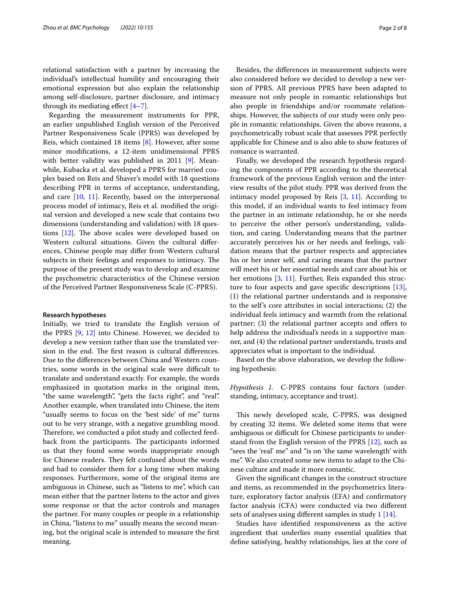relational satisfaction with a partner by increasing the individual's intellectual humility and encouraging their emotional expression but also explain the relationship among self-disclosure, partner disclosure, and intimacy through its mediating effect  $[4-7]$  $[4-7]$ .

Regarding the measurement instruments for PPR, an earlier unpublished English version of the Perceived Partner Responsiveness Scale (PPRS) was developed by Reis, which contained 18 items [[8\]](#page-7-5). However, after some minor modifcations, a 12-item unidimensional PPRS with better validity was published in 2011 [\[9](#page-7-6)]. Meanwhile, Kubacka et al. developed a PPRS for married couples based on Reis and Shaver's model with 18 questions describing PPR in terms of acceptance, understanding, and care [\[10](#page-7-7), [11](#page-7-8)]. Recently, based on the interpersonal process model of intimacy, Reis et al. modifed the original version and developed a new scale that contains two dimensions (understanding and validation) with 18 questions  $[12]$  $[12]$ . The above scales were developed based on Western cultural situations. Given the cultural diferences, Chinese people may difer from Western cultural subjects in their feelings and responses to intimacy. The purpose of the present study was to develop and examine the psychometric characteristics of the Chinese version of the Perceived Partner Responsiveness Scale (C-PPRS).

#### **Research hypotheses**

Initially, we tried to translate the English version of the PPRS [[9,](#page-7-6) [12](#page-7-9)] into Chinese. However, we decided to develop a new version rather than use the translated version in the end. The first reason is cultural differences. Due to the diferences between China and Western countries, some words in the original scale were difficult to translate and understand exactly. For example, the words emphasized in quotation marks in the original item, "the same wavelength", "gets the facts right", and "real". Another example, when translated into Chinese, the item "usually seems to focus on the 'best side' of me" turns out to be very strange, with a negative grumbling mood. Therefore, we conducted a pilot study and collected feedback from the participants. The participants informed us that they found some words inappropriate enough for Chinese readers. They felt confused about the words and had to consider them for a long time when making responses. Furthermore, some of the original items are ambiguous in Chinese, such as "listens to me", which can mean either that the partner listens to the actor and gives some response or that the actor controls and manages the partner. For many couples or people in a relationship in China, "listens to me" usually means the second meaning, but the original scale is intended to measure the frst meaning.

Besides, the diferences in measurement subjects were also considered before we decided to develop a new version of PPRS. All previous PPRS have been adapted to measure not only people in romantic relationships but also people in friendships and/or roommate relationships. However, the subjects of our study were only people in romantic relationships. Given the above reasons, a psychometrically robust scale that assesses PPR perfectly applicable for Chinese and is also able to show features of romance is warranted.

Finally, we developed the research hypothesis regarding the components of PPR according to the theoretical framework of the previous English version and the interview results of the pilot study. PPR was derived from the intimacy model proposed by Reis [[3,](#page-7-2) [11\]](#page-7-8). According to this model, if an individual wants to feel intimacy from the partner in an intimate relationship, he or she needs to perceive the other person's understanding, validation, and caring. Understanding means that the partner accurately perceives his or her needs and feelings, validation means that the partner respects and appreciates his or her inner self, and caring means that the partner will meet his or her essential needs and care about his or her emotions [[3,](#page-7-2) [11](#page-7-8)]. Further, Reis expanded this structure to four aspects and gave specifc descriptions [\[13](#page-7-10)], (1) the relational partner understands and is responsive to the self's core attributes in social interactions; (2) the individual feels intimacy and warmth from the relational partner; (3) the relational partner accepts and offers to help address the individual's needs in a supportive manner, and (4) the relational partner understands, trusts and appreciates what is important to the individual.

Based on the above elaboration, we develop the following hypothesis:

*Hypothesis 1.* C-PPRS contains four factors (understanding, intimacy, acceptance and trust).

This newly developed scale, C-PPRS, was designed by creating 32 items. We deleted some items that were ambiguous or difficult for Chinese participants to understand from the English version of the PPRS [\[12](#page-7-9)], such as "sees the 'real' me" and "is on 'the same wavelength' with me". We also created some new items to adapt to the Chinese culture and made it more romantic.

Given the signifcant changes in the construct structure and items, as recommended in the psychometrics literature, exploratory factor analysis (EFA) and confrmatory factor analysis (CFA) were conducted via two diferent sets of analyses using different samples in study [1](#page-2-0) [\[14](#page-7-11)].

Studies have identifed responsiveness as the active ingredient that underlies many essential qualities that defne satisfying, healthy relationships, lies at the core of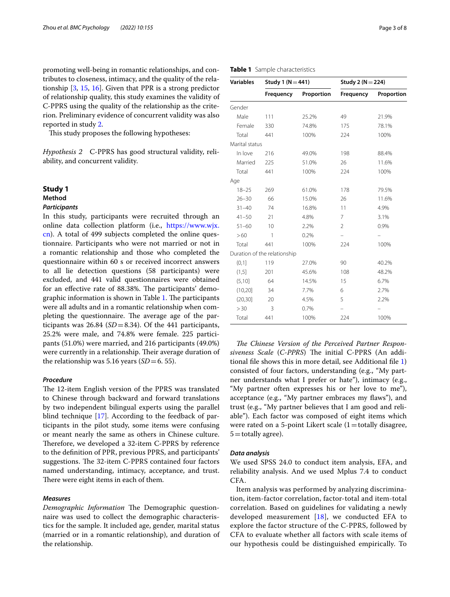promoting well-being in romantic relationships, and contributes to closeness, intimacy, and the quality of the relationship [\[3](#page-7-2), [15](#page-7-12), [16](#page-7-13)]. Given that PPR is a strong predictor of relationship quality, this study examines the validity of C-PPRS using the quality of the relationship as the criterion. Preliminary evidence of concurrent validity was also reported in study [2](#page-5-0).

This study proposes the following hypotheses:

*Hypothesis 2* C-PPRS has good structural validity, reliability, and concurrent validity.

## <span id="page-2-0"></span>**Study 1**

## **Method**

## *Participants*

In this study, participants were recruited through an online data collection platform (i.e., [https://www.wjx.](https://www.wjx.cn) [cn\)](https://www.wjx.cn). A total of 499 subjects completed the online questionnaire. Participants who were not married or not in a romantic relationship and those who completed the questionnaire within 60 s or received incorrect answers to all lie detection questions (58 participants) were excluded, and 441 valid questionnaires were obtained for an effective rate of 88.38%. The participants' demo-graphic information is shown in Table [1](#page-2-1). The participants were all adults and in a romantic relationship when completing the questionnaire. The average age of the participants was  $26.84$  ( $SD = 8.34$ ). Of the 441 participants, 25.2% were male, and 74.8% were female. 225 participants (51.0%) were married, and 216 participants (49.0%) were currently in a relationship. Their average duration of the relationship was 5.16 years  $(SD=6, 55)$ .

#### *Procedure*

The 12-item English version of the PPRS was translated to Chinese through backward and forward translations by two independent bilingual experts using the parallel blind technique [[17\]](#page-7-14). According to the feedback of participants in the pilot study, some items were confusing or meant nearly the same as others in Chinese culture. Therefore, we developed a 32-item C-PPRS by reference to the defnition of PPR, previous PPRS, and participants' suggestions. The 32-item C-PPRS contained four factors named understanding, intimacy, acceptance, and trust. There were eight items in each of them.

#### *Measures*

*Demographic Information* The Demographic questionnaire was used to collect the demographic characteristics for the sample. It included age, gender, marital status (married or in a romantic relationship), and duration of the relationship.

| Frequency             | Proportion | Frequency             | Proportion |  |  |  |  |
|-----------------------|------------|-----------------------|------------|--|--|--|--|
| Study 1 ( $N = 441$ ) |            | Study 2 ( $N = 224$ ) |            |  |  |  |  |
| nple characteristics  |            |                       |            |  |  |  |  |

<span id="page-2-1"></span>**Table 1** Sample charact **Variables Study 1 (N**=**441) Study 2 (N**=**224)**

|                | пециенсу                     | <b>HUPULUUIL</b> | <b>TRYSER</b>     | <b>HUPULUU</b>           |
|----------------|------------------------------|------------------|-------------------|--------------------------|
| Gender         |                              |                  |                   |                          |
| Male           | 111                          | 25.2%            | 49                | 21.9%                    |
| Female         | 330                          | 74.8%            | 175               | 78.1%                    |
| Total          | 441                          | 100%             | 224               | 100%                     |
| Marital status |                              |                  |                   |                          |
| In love        | 216                          | 49.0%            | 198               | 88.4%                    |
| Married        | 225                          | 51.0%            | 26                | 11.6%                    |
| Total          | 441                          | 100%             | 224               | 100%                     |
| Age            |                              |                  |                   |                          |
| $18 - 25$      | 269                          | 61.0%            | 178               | 79.5%                    |
| $26 - 30$      | 66                           | 15.0%            | 26                | 11.6%                    |
| $31 - 40$      | 74                           | 16.8%            | 11                | 4.9%                     |
| $41 - 50$      | 21                           | 4.8%             | 7                 | 3.1%                     |
| $51 - 60$      | 10                           | 2.2%             | $\overline{2}$    | 0.9%                     |
| >60            | 1                            | 0.2%             | $\qquad \qquad -$ | $\overline{\phantom{0}}$ |
| Total          | 441                          | 100%             | 224               | 100%                     |
|                | Duration of the relationship |                  |                   |                          |
| (0,1]          | 119                          | 27.0%            | 90                | 40.2%                    |
| (1,5]          | 201                          | 45.6%            | 108               | 48.2%                    |
| (5,10]         | 64                           | 14.5%            | 15                | 6.7%                     |
| (10, 20)       | 34                           | 7.7%             | 6                 | 2.7%                     |
| (20, 30)       | 20                           | 4.5%             | 5                 | 2.2%                     |
| > 30           | 3                            | 0.7%             |                   |                          |
| Total          | 441                          | 100%             | 224               | 100%                     |
|                |                              |                  |                   |                          |

The Chinese Version of the Perceived Partner Responsiveness Scale (C-PPRS) The initial C-PPRS (An additional fle shows this in more detail, see Additional fle [1](#page-6-0)) consisted of four factors, understanding (e.g., "My partner understands what I prefer or hate"), intimacy (e.g., "My partner often expresses his or her love to me"), acceptance (e.g., "My partner embraces my flaws"), and trust (e.g., "My partner believes that I am good and reliable"). Each factor was composed of eight items which were rated on a 5-point Likert scale  $(1=$ totally disagree,  $5 =$ totally agree).

#### *Data analysis*

We used SPSS 24.0 to conduct item analysis, EFA, and reliability analysis. And we used Mplus 7.4 to conduct CFA.

Item analysis was performed by analyzing discrimination, item-factor correlation, factor-total and item-total correlation. Based on guidelines for validating a newly developed measurement [\[18](#page-7-15)], we conducted EFA to explore the factor structure of the C-PPRS, followed by CFA to evaluate whether all factors with scale items of our hypothesis could be distinguished empirically. To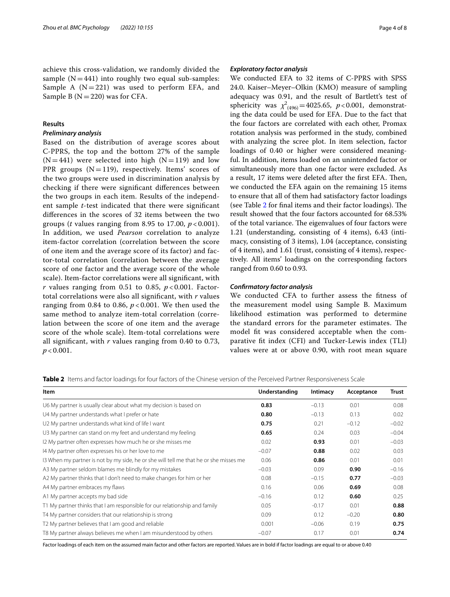achieve this cross-validation, we randomly divided the sample  $(N=441)$  into roughly two equal sub-samples: Sample A  $(N=221)$  was used to perform EFA, and Sample B ( $N=220$ ) was for CFA.

#### **Results**

#### *Preliminary analysis*

Based on the distribution of average scores about C-PPRS, the top and the bottom 27% of the sample  $(N=441)$  were selected into high  $(N=119)$  and low PPR groups  $(N=119)$ , respectively. Items' scores of the two groups were used in discrimination analysis by checking if there were signifcant diferences between the two groups in each item. Results of the independent sample *t*-test indicated that there were signifcant diferences in the scores of 32 items between the two groups (*t* values ranging from 8.95 to 17.00, *p* < 0.001). In addition, we used *Pearson* correlation to analyze item-factor correlation (correlation between the score of one item and the average score of its factor) and factor-total correlation (correlation between the average score of one factor and the average score of the whole scale). Item-factor correlations were all signifcant, with  $r$  values ranging from 0.51 to 0.85,  $p < 0.001$ . Factortotal correlations were also all signifcant, with *r* values ranging from 0.84 to 0.86, *p* < 0.001. We then used the same method to analyze item-total correlation (correlation between the score of one item and the average score of the whole scale). Item-total correlations were all signifcant, with *r* values ranging from 0.40 to 0.73, *p* < 0.001.

#### *Exploratory factor analysis*

We conducted EFA to 32 items of C-PPRS with SPSS 24.0. Kaiser–Meyer–Olkin (KMO) measure of sampling adequacy was 0.91, and the result of Bartlett's test of sphericity was  $\chi^2_{(496)} = 4025.65$ , *p*<0.001, demonstrating the data could be used for EFA. Due to the fact that the four factors are correlated with each other, Promax rotation analysis was performed in the study, combined with analyzing the scree plot. In item selection, factor loadings of 0.40 or higher were considered meaningful. In addition, items loaded on an unintended factor or simultaneously more than one factor were excluded. As a result, 17 items were deleted after the first EFA. Then, we conducted the EFA again on the remaining 15 items to ensure that all of them had satisfactory factor loadings (see Table  $2$  for final items and their factor loadings). The result showed that the four factors accounted for 68.53% of the total variance. The eigenvalues of four factors were 1.21 (understanding, consisting of 4 items), 6.43 (intimacy, consisting of 3 items), 1.04 (acceptance, consisting of 4 items), and 1.61 (trust, consisting of 4 items), respectively. All items' loadings on the corresponding factors ranged from 0.60 to 0.93.

#### *Confrmatory factor analysis*

We conducted CFA to further assess the ftness of the measurement model using Sample B. Maximum likelihood estimation was performed to determine the standard errors for the parameter estimates. The model ft was considered acceptable when the comparative ft index (CFI) and Tucker-Lewis index (TLI) values were at or above 0.90, with root mean square

<span id="page-3-0"></span>**Table 2** Items and factor loadings for four factors of the Chinese version of the Perceived Partner Responsiveness Scale

| Item                                                                                  | Understanding | Intimacy | Acceptance | <b>Trust</b> |
|---------------------------------------------------------------------------------------|---------------|----------|------------|--------------|
| U6 My partner is usually clear about what my decision is based on                     | 0.83          | $-0.13$  | 0.01       | 0.08         |
| U4 My partner understands what I prefer or hate                                       | 0.80          | $-0.13$  | 0.13       | 0.02         |
| U2 My partner understands what kind of life I want                                    | 0.75          | 0.21     | $-0.12$    | $-0.02$      |
| U3 My partner can stand on my feet and understand my feeling                          | 0.65          | 0.24     | 0.03       | $-0.04$      |
| I2 My partner often expresses how much he or she misses me                            | 0.02          | 0.93     | 0.01       | $-0.03$      |
| 14 My partner often expresses his or her love to me                                   | $-0.07$       | 0.88     | 0.02       | 0.03         |
| 13 When my partner is not by my side, he or she will tell me that he or she misses me | 0.06          | 0.86     | 0.01       | 0.01         |
| A3 My partner seldom blames me blindly for my mistakes                                | $-0.03$       | 0.09     | 0.90       | $-0.16$      |
| A2 My partner thinks that I don't need to make changes for him or her                 | 0.08          | $-0.15$  | 0.77       | $-0.03$      |
| A4 My partner embraces my flaws                                                       | 0.16          | 0.06     | 0.69       | 0.08         |
| A1 My partner accepts my bad side                                                     | $-0.16$       | 0.12     | 0.60       | 0.25         |
| T1 My partner thinks that I am responsible for our relationship and family            | 0.05          | $-0.17$  | 0.01       | 0.88         |
| T4 My partner considers that our relationship is strong                               | 0.09          | 0.12     | $-0.20$    | 0.80         |
| T2 My partner believes that I am good and reliable                                    | 0.001         | $-0.06$  | 0.19       | 0.75         |
| T8 My partner always believes me when I am misunderstood by others                    | $-0.07$       | 0.17     | 0.01       | 0.74         |

Factor loadings of each item on the assumed main factor and other factors are reported. Values are in bold if factor loadings are equal to or above 0.40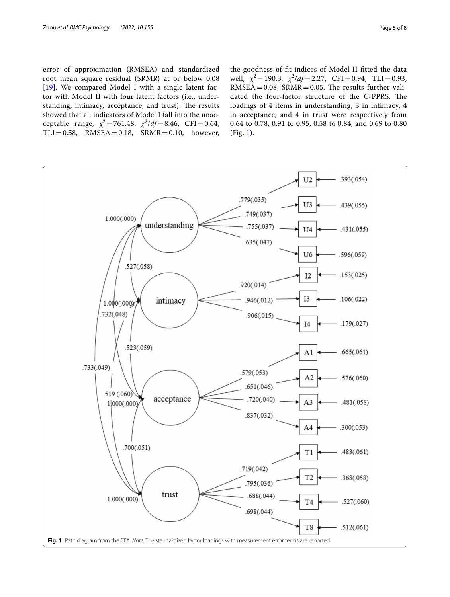error of approximation (RMSEA) and standardized root mean square residual (SRMR) at or below 0.08 [[19](#page-7-16)]. We compared Model I with a single latent factor with Model II with four latent factors (i.e., understanding, intimacy, acceptance, and trust). The results showed that all indicators of Model I fall into the unacceptable range,  $\chi^2 = 761.48$ ,  $\chi^2/df = 8.46$ , CFI = 0.64,  $TLI = 0.58$ ,  $RMSEA = 0.18$ ,  $SRMR = 0.10$ , however,

the goodness-of-ft indices of Model II ftted the data well,  $\chi^2 = 190.3$ ,  $\chi^2/df = 2.27$ , CFI = 0.94, TLI = 0.93,  $RMSEA = 0.08$ ,  $SRMR = 0.05$ . The results further validated the four-factor structure of the C-PPRS. The loadings of 4 items in understanding, 3 in intimacy, 4 in acceptance, and 4 in trust were respectively from 0.64 to 0.78, 0.91 to 0.95, 0.58 to 0.84, and 0.69 to 0.80 (Fig. [1\)](#page-4-0).

<span id="page-4-0"></span>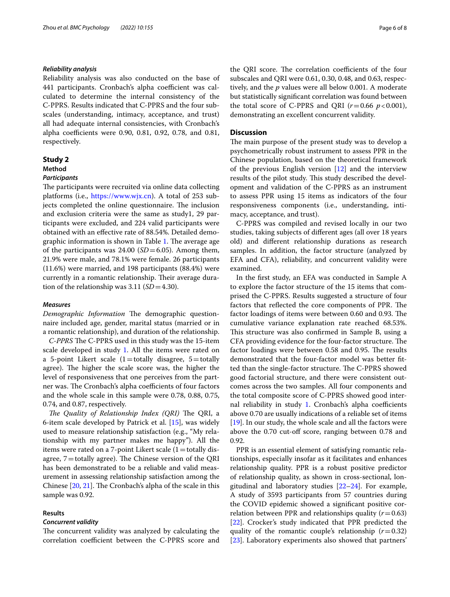#### *Reliability analysis*

Reliability analysis was also conducted on the base of 441 participants. Cronbach's alpha coefficient was calculated to determine the internal consistency of the C-PPRS. Results indicated that C-PPRS and the four subscales (understanding, intimacy, acceptance, and trust) all had adequate internal consistencies, with Cronbach's alpha coefficients were 0.90, 0.81, 0.92, 0.78, and 0.81, respectively.

### <span id="page-5-0"></span>**Study 2**

## **Method**

#### *Participants*

The participants were recruited via online data collecting platforms (i.e., [https://www.wjx.cn\)](https://www.wjx.cn). A total of 253 subjects completed the online questionnaire. The inclusion and exclusion criteria were the same as study1, 29 participants were excluded, and 224 valid participants were obtained with an efective rate of 88.54%. Detailed demo-graphic information is shown in Table [1.](#page-2-1) The average age of the participants was  $24.00$  ( $SD = 6.05$ ). Among them, 21.9% were male, and 78.1% were female. 26 participants (11.6%) were married, and 198 participants (88.4%) were currently in a romantic relationship. Their average duration of the relationship was 3.11 (*SD*=4.30).

#### *Measures*

*Demographic Information* The demographic questionnaire included age, gender, marital status (married or in a romantic relationship), and duration of the relationship.

*C-PPRS* The C-PPRS used in this study was the 15-item scale developed in study [1.](#page-2-0) All the items were rated on a 5-point Likert scale  $(1=$ totally disagree, 5  $=$  totally agree). The higher the scale score was, the higher the level of responsiveness that one perceives from the partner was. The Cronbach's alpha coefficients of four factors and the whole scale in this sample were 0.78, 0.88, 0.75, 0.74, and 0.87, respectively.

*The Quality of Relationship Index (QRI)* The QRI, a 6-item scale developed by Patrick et al. [[15\]](#page-7-12), was widely used to measure relationship satisfaction (e.g., "My relationship with my partner makes me happy"). All the items were rated on a 7-point Likert scale  $(1=$  totally disagree,  $7=$  totally agree). The Chinese version of the QRI has been demonstrated to be a reliable and valid measurement in assessing relationship satisfaction among the Chinese  $[20, 21]$  $[20, 21]$  $[20, 21]$ . The Cronbach's alpha of the scale in this sample was 0.92.

#### **Results**

#### *Concurrent validity*

The concurrent validity was analyzed by calculating the correlation coefficient between the C-PPRS score and the QRI score. The correlation coefficients of the four subscales and QRI were 0.61, 0.30, 0.48, and 0.63, respectively, and the *p* values were all below 0.001. A moderate but statistically signifcant correlation was found between the total score of C-PPRS and QRI  $(r=0.66 \, p<0.001)$ , demonstrating an excellent concurrent validity.

#### **Discussion**

The main purpose of the present study was to develop a psychometrically robust instrument to assess PPR in the Chinese population, based on the theoretical framework of the previous English version  $[12]$  $[12]$  and the interview results of the pilot study. This study described the development and validation of the C-PPRS as an instrument to assess PPR using 15 items as indicators of the four responsiveness components (i.e., understanding, intimacy, acceptance, and trust).

C-PPRS was compiled and revised locally in our two studies, taking subjects of diferent ages (all over 18 years old) and diferent relationship durations as research samples. In addition, the factor structure (analyzed by EFA and CFA), reliability, and concurrent validity were examined.

In the frst study, an EFA was conducted in Sample A to explore the factor structure of the 15 items that comprised the C-PPRS. Results suggested a structure of four factors that reflected the core components of PPR. The factor loadings of items were between 0.60 and 0.93. The cumulative variance explanation rate reached 68.53%. This structure was also confirmed in Sample B, using a CFA providing evidence for the four-factor structure. The factor loadings were between 0.58 and 0.95. The results demonstrated that the four-factor model was better ftted than the single-factor structure. The C-PPRS showed good factorial structure, and there were consistent outcomes across the two samples. All four components and the total composite score of C-PPRS showed good inter-nal reliability in study [1.](#page-2-0) Cronbach's alpha coefficients above 0.70 are usually indications of a reliable set of items [[19\]](#page-7-16). In our study, the whole scale and all the factors were above the 0.70 cut-off score, ranging between 0.78 and 0.92.

PPR is an essential element of satisfying romantic relationships, especially insofar as it facilitates and enhances relationship quality. PPR is a robust positive predictor of relationship quality, as shown in cross-sectional, longitudinal and laboratory studies [\[22](#page-7-19)[–24](#page-7-20)]. For example, A study of 3593 participants from 57 countries during the COVID epidemic showed a signifcant positive correlation between PPR and relationships quality  $(r=0.63)$ [[22\]](#page-7-19). Crocker's study indicated that PPR predicted the quality of the romantic couple's relationship  $(r=0.32)$ [[23\]](#page-7-21). Laboratory experiments also showed that partners'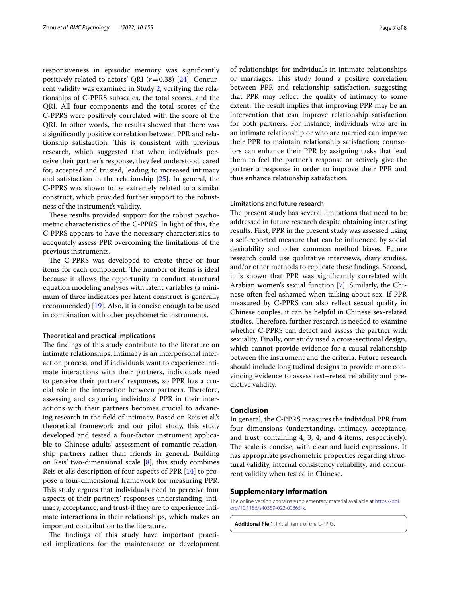responsiveness in episodic memory was signifcantly positively related to actors' QRI (*r*=0.38) [[24](#page-7-20)]. Concurrent validity was examined in Study [2,](#page-5-0) verifying the relationships of C-PPRS subscales, the total scores, and the QRI. All four components and the total scores of the C-PPRS were positively correlated with the score of the QRI. In other words, the results showed that there was a signifcantly positive correlation between PPR and relationship satisfaction. This is consistent with previous research, which suggested that when individuals perceive their partner's response, they feel understood, cared for, accepted and trusted, leading to increased intimacy and satisfaction in the relationship [\[25\]](#page-7-22). In general, the C-PPRS was shown to be extremely related to a similar construct, which provided further support to the robustness of the instrument's validity.

These results provided support for the robust psychometric characteristics of the C-PPRS. In light of this, the C-PPRS appears to have the necessary characteristics to adequately assess PPR overcoming the limitations of the previous instruments.

The C-PPRS was developed to create three or four items for each component. The number of items is ideal because it allows the opportunity to conduct structural equation modeling analyses with latent variables (a minimum of three indicators per latent construct is generally recommended) [[19\]](#page-7-16). Also, it is concise enough to be used in combination with other psychometric instruments.

#### **Theoretical and practical implications**

The findings of this study contribute to the literature on intimate relationships. Intimacy is an interpersonal interaction process, and if individuals want to experience intimate interactions with their partners, individuals need to perceive their partners' responses, so PPR has a crucial role in the interaction between partners. Therefore, assessing and capturing individuals' PPR in their interactions with their partners becomes crucial to advancing research in the feld of intimacy. Based on Reis et al.'s theoretical framework and our pilot study, this study developed and tested a four-factor instrument applicable to Chinese adults' assessment of romantic relationship partners rather than friends in general. Building on Reis' two-dimensional scale [[8\]](#page-7-5), this study combines Reis et al's description of four aspects of PPR [[14](#page-7-11)] to propose a four-dimensional framework for measuring PPR. This study argues that individuals need to perceive four aspects of their partners' responses-understanding, intimacy, acceptance, and trust-if they are to experience intimate interactions in their relationships, which makes an important contribution to the literature.

The findings of this study have important practical implications for the maintenance or development of relationships for individuals in intimate relationships or marriages. This study found a positive correlation between PPR and relationship satisfaction, suggesting that PPR may refect the quality of intimacy to some extent. The result implies that improving PPR may be an intervention that can improve relationship satisfaction for both partners. For instance, individuals who are in an intimate relationship or who are married can improve their PPR to maintain relationship satisfaction; counselors can enhance their PPR by assigning tasks that lead them to feel the partner's response or actively give the partner a response in order to improve their PPR and thus enhance relationship satisfaction.

#### **Limitations and future research**

The present study has several limitations that need to be addressed in future research despite obtaining interesting results. First, PPR in the present study was assessed using a self-reported measure that can be infuenced by social desirability and other common method biases. Future research could use qualitative interviews, diary studies, and/or other methods to replicate these fndings. Second, it is shown that PPR was signifcantly correlated with Arabian women's sexual function [[7\]](#page-7-4). Similarly, the Chinese often feel ashamed when talking about sex. If PPR measured by C-PPRS can also refect sexual quality in Chinese couples, it can be helpful in Chinese sex-related studies. Therefore, further research is needed to examine whether C-PPRS can detect and assess the partner with sexuality. Finally, our study used a cross-sectional design, which cannot provide evidence for a causal relationship between the instrument and the criteria. Future research should include longitudinal designs to provide more convincing evidence to assess test–retest reliability and predictive validity.

#### **Conclusion**

In general, the C-PPRS measures the individual PPR from four dimensions (understanding, intimacy, acceptance, and trust, containing 4, 3, 4, and 4 items, respectively). The scale is concise, with clear and lucid expressions. It has appropriate psychometric properties regarding structural validity, internal consistency reliability, and concurrent validity when tested in Chinese.

#### **Supplementary Information**

The online version contains supplementary material available at [https://doi.](https://doi.org/10.1186/s40359-022-00865-x) [org/10.1186/s40359-022-00865-x.](https://doi.org/10.1186/s40359-022-00865-x)

<span id="page-6-0"></span>**Additional fle 1.** Initial Items of the C-PPRS.